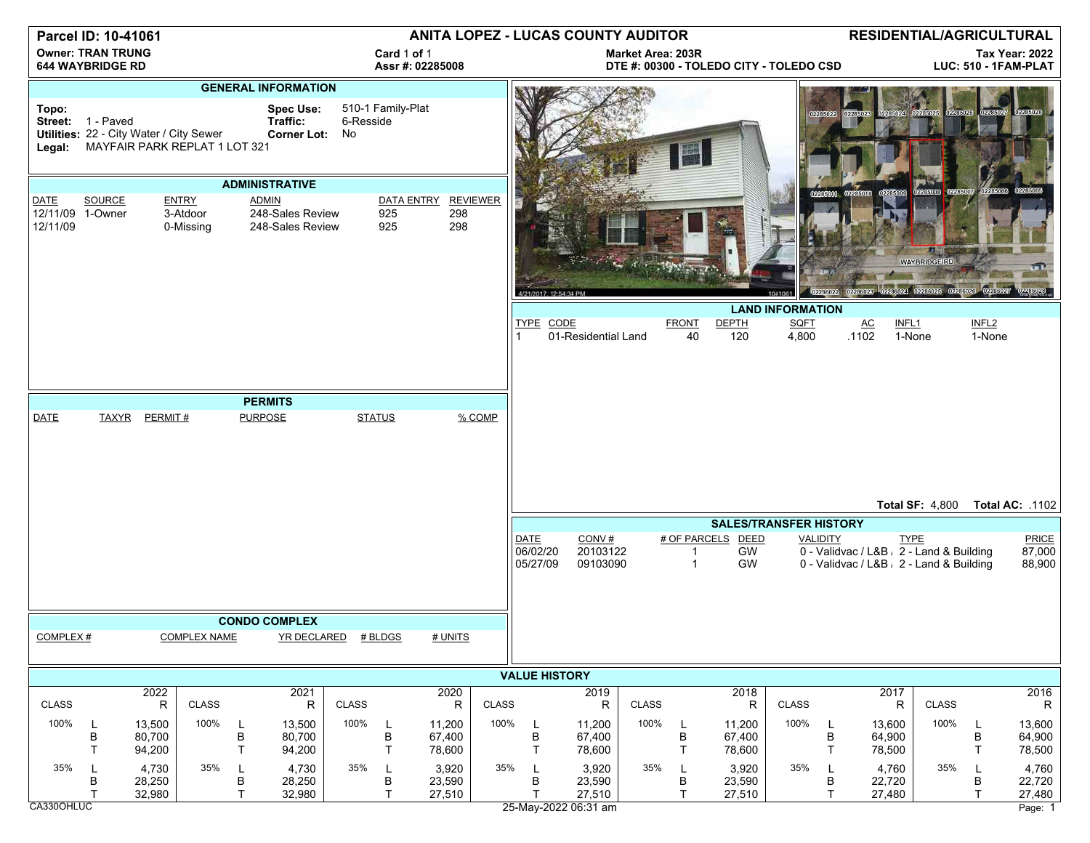| Parcel ID: 10-41061                                 |                                                              |                            |                                |                                                      |                                 |                      | ANITA LOPEZ - LUCAS COUNTY AUDITOR |                                                                     |                 |                                     |                               |              |                         | <b>RESIDENTIAL/AGRICULTURAL</b>               |                      |                        |                            |                                                                                                     |                             |                            |
|-----------------------------------------------------|--------------------------------------------------------------|----------------------------|--------------------------------|------------------------------------------------------|---------------------------------|----------------------|------------------------------------|---------------------------------------------------------------------|-----------------|-------------------------------------|-------------------------------|--------------|-------------------------|-----------------------------------------------|----------------------|------------------------|----------------------------|-----------------------------------------------------------------------------------------------------|-----------------------------|----------------------------|
| <b>Owner: TRAN TRUNG</b><br><b>644 WAYBRIDGE RD</b> |                                                              |                            |                                |                                                      | Card 1 of 1<br>Assr #: 02285008 |                      |                                    | <b>Market Area: 203R</b><br>DTE #: 00300 - TOLEDO CITY - TOLEDO CSD |                 |                                     |                               |              |                         | <b>Tax Year: 2022</b><br>LUC: 510 - 1FAM-PLAT |                      |                        |                            |                                                                                                     |                             |                            |
| <b>GENERAL INFORMATION</b>                          |                                                              |                            |                                |                                                      |                                 |                      |                                    |                                                                     |                 |                                     |                               |              |                         |                                               |                      |                        |                            |                                                                                                     |                             |                            |
| Topo:<br>Legal:                                     | Street: 1 - Paved<br>Utilities: 22 - City Water / City Sewer |                            | MAYFAIR PARK REPLAT 1 LOT 321  | <b>Spec Use:</b><br>Traffic:                         | Corner Lot: No                  | 6-Resside            | 510-1 Family-Plat                  |                                                                     |                 |                                     |                               |              | 團                       |                                               |                      | 02285022               |                            |                                                                                                     |                             |                            |
|                                                     |                                                              |                            |                                | <b>ADMINISTRATIVE</b>                                |                                 |                      |                                    |                                                                     |                 |                                     |                               |              |                         |                                               |                      |                        | 02285009                   | 02265006 0226500                                                                                    |                             |                            |
| DATE<br>12/11/09 1-Owner<br>12/11/09                | SOURCE                                                       |                            | ENTRY<br>3-Atdoor<br>0-Missing | <b>ADMIN</b><br>248-Sales Review<br>248-Sales Review |                                 |                      | DATA ENTRY<br>925<br>925           | 298<br>298                                                          | <b>REVIEWER</b> | 4/21/2017, 12:54:34 PM              |                               |              |                         |                                               |                      | 02286022               |                            | <b>WAYBRIDGE RD</b><br>02286028 02286023 02286025 022860                                            |                             |                            |
|                                                     |                                                              |                            |                                |                                                      |                                 |                      |                                    |                                                                     |                 | <b>LAND INFORMATION</b>             |                               |              |                         |                                               |                      |                        |                            |                                                                                                     |                             |                            |
|                                                     |                                                              |                            |                                |                                                      |                                 |                      |                                    |                                                                     |                 | <b>TYPE CODE</b>                    | 01-Residential Land           |              | <b>FRONT</b><br>40      | <b>DEPTH</b><br>120                           | <b>SQFT</b><br>4,800 |                        | INFL1<br>AC<br>.1102       | 1-None                                                                                              | INFL <sub>2</sub><br>1-None |                            |
|                                                     |                                                              |                            |                                |                                                      |                                 |                      |                                    |                                                                     |                 |                                     |                               |              |                         |                                               |                      |                        |                            |                                                                                                     |                             |                            |
|                                                     |                                                              |                            |                                |                                                      |                                 |                      |                                    |                                                                     |                 |                                     |                               |              |                         |                                               |                      |                        |                            |                                                                                                     |                             |                            |
| <b>DATE</b>                                         | <b>TAXYR</b>                                                 | PERMIT#                    |                                | <b>PERMITS</b><br><b>PURPOSE</b>                     |                                 | <b>STATUS</b>        |                                    |                                                                     | % COMP          |                                     |                               |              |                         |                                               |                      |                        |                            |                                                                                                     |                             |                            |
|                                                     |                                                              |                            |                                |                                                      |                                 |                      |                                    |                                                                     |                 |                                     |                               |              |                         |                                               |                      |                        |                            | Total SF: 4,800 Total AC: .1102                                                                     |                             |                            |
|                                                     |                                                              |                            |                                |                                                      |                                 |                      |                                    | <b>SALES/TRANSFER HISTORY</b>                                       |                 |                                     |                               |              |                         |                                               |                      |                        |                            |                                                                                                     |                             |                            |
|                                                     |                                                              |                            |                                |                                                      |                                 |                      |                                    |                                                                     |                 | <b>DATE</b><br>06/02/20<br>05/27/09 | CONV#<br>20103122<br>09103090 |              | 1<br>$\mathbf{1}$       | # OF PARCELS DEED<br>GW<br><b>GW</b>          |                      | <b>VALIDITY</b>        |                            | <b>TYPE</b><br>0 - Validvac / L&B , 2 - Land & Building<br>0 - Validvac / L&B , 2 - Land & Building |                             | PRICE<br>87,000<br>88,900  |
|                                                     | <b>CONDO COMPLEX</b>                                         |                            |                                |                                                      |                                 |                      |                                    |                                                                     |                 |                                     |                               |              |                         |                                               |                      |                        |                            |                                                                                                     |                             |                            |
| COMPLEX #                                           |                                                              |                            | <b>COMPLEX NAME</b>            | YR DECLARED # BLDGS                                  |                                 |                      |                                    | # UNITS                                                             |                 |                                     |                               |              |                         |                                               |                      |                        |                            |                                                                                                     |                             |                            |
|                                                     |                                                              |                            |                                |                                                      |                                 | <b>VALUE HISTORY</b> |                                    |                                                                     |                 |                                     |                               |              |                         |                                               |                      |                        |                            |                                                                                                     |                             |                            |
| <b>CLASS</b>                                        |                                                              | 2022<br>$\mathsf{R}$       | <b>CLASS</b>                   |                                                      | 2021<br>R                       | <b>CLASS</b>         |                                    | 2020<br>$\mathsf{R}$                                                | <b>CLASS</b>    |                                     | 2019<br>R                     | <b>CLASS</b> |                         | 2018<br>R                                     | <b>CLASS</b>         |                        | 2017<br>R                  | <b>CLASS</b>                                                                                        |                             | 2016<br>R                  |
| 100%                                                | L<br>B<br>T                                                  | 13,500<br>80,700<br>94,200 | 100%                           | 13,500<br>B<br>80,700<br>T<br>94,200                 |                                 | 100%                 | L<br>B<br>T                        | 11,200<br>67,400<br>78,600                                          | 100%            | L<br>B<br>T                         | 11,200<br>67,400<br>78,600    | 100%         | L<br>B<br>$\mathsf{T}$  | 11,200<br>67,400<br>78,600                    | 100%                 | L<br>B<br>T            | 13,600<br>64,900<br>78,500 | 100%                                                                                                | L<br>В<br>T                 | 13,600<br>64,900<br>78,500 |
| 35%                                                 | L<br>B<br>T                                                  | 4,730<br>28,250<br>32,980  | 35%                            | L<br>В<br>28,250<br>T                                | 4,730<br>32,980                 | 35%                  | L<br>B<br>T                        | 3,920<br>23,590<br>27,510                                           | 35%             | L<br>В<br>T                         | 3,920<br>23,590<br>27,510     | 35%          | -L<br>В<br>$\mathsf{T}$ | 3,920<br>23,590<br>27,510                     | 35%                  | L<br>В<br>$\mathsf{T}$ | 4,760<br>22,720<br>27,480  | 35%                                                                                                 | L<br>В<br>T                 | 4,760<br>22,720<br>27,480  |
| CA330OHLUC                                          |                                                              |                            |                                |                                                      |                                 |                      |                                    |                                                                     |                 |                                     | 25-May-2022 06:31 am          |              |                         |                                               |                      |                        |                            |                                                                                                     |                             | Page: 1                    |